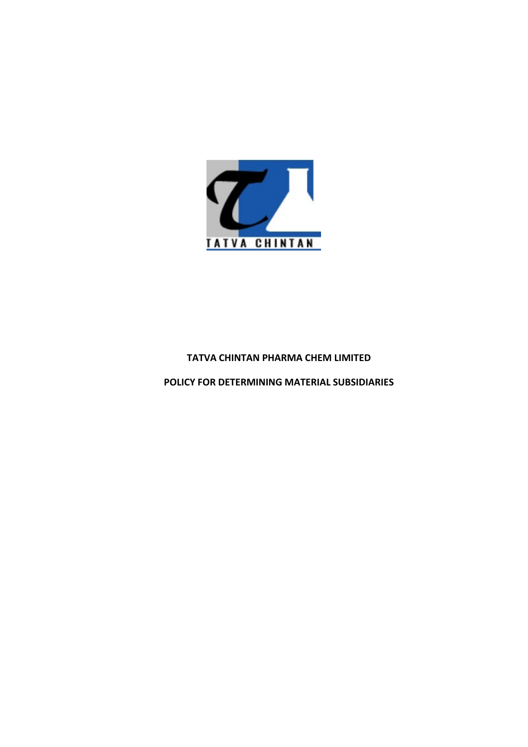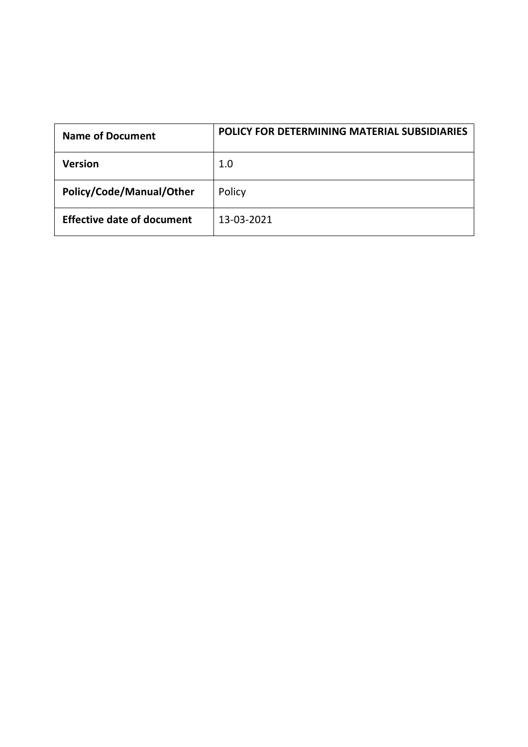| <b>Name of Document</b>           | POLICY FOR DETERMINING MATERIAL SUBSIDIARIES |
|-----------------------------------|----------------------------------------------|
| Version                           | $1.0\,$                                      |
| Policy/Code/Manual/Other          | Policy                                       |
| <b>Effective date of document</b> | 13-03-2021                                   |
|                                   |                                              |
|                                   |                                              |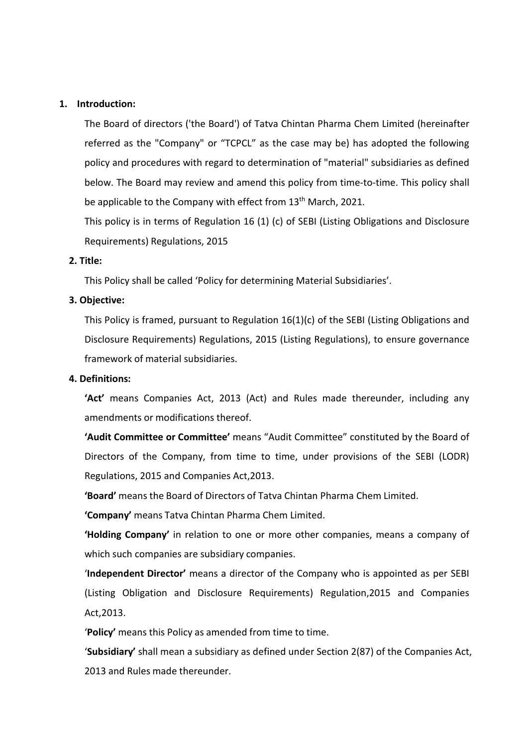1. Introduction:<br>The Board of directors ('the Board') of Tatva Chintan Pharma Che<br>referred as the "Company" or "TCPCL" as the case may be) has<br>policy and procedures with regard to determination of "material" troduction:<br>The Board of directors ('the Board') of Tatva Chintan Pharma Chem Limited (hereinafter<br>referred as the "Company" or "TCPCL" as the case may be) has adopted the following<br>policy and procedures with regard to det troduction:<br>The Board of directors ('the Board') of Tatva Chintan Pharma Chem Limited (hereinafter<br>referred as the "Company" or "TCPCL" as the case may be) has adopted the following<br>policy and procedures with regard to det troduction:<br>The Board of directors ('the Board') of Tatva Chintan Pharma Chem Limited (hereinafter<br>referred as the "Company" or "TCPCL" as the case may be) has adopted the following<br>policy and procedures with regard to det troduction:<br>The Board of directors ('the Board') of Tatva Chintan Pharma Chem Limited (hereinafter<br>referred as the "Company" or "TCPCL" as the case may be) has adopted the following<br>policy and procedures with regard to det troduction:<br>The Board of directors ('the Board') of Tatva Chintan Pharma Chem Limited (hereinafter<br>referred as the "Company" or "TCPCL" as the case may be) has adopted the following<br>policy and procedures with regard to det troduction:<br>The Board of directors ('the Board') of Tatva Chintan Pharma Chem Limited (hereinafter<br>referred as the "Company" or "TCPCL" as the case may be) has adopted the following<br>policy and procedures with regard to det troduction:<br>The Board of directors ('the Board') of Tatva Chintan Pharma Chem Limited (hereinafter<br>referred as the "Company" or "TCPCL" as the case may be) has adopted the following<br>policy and procedures with regard to det Introduction:<br>
The Board of directors ('the Board') of Tatva Chintan Pharma Che<br>
referred as the "Company" or "TCPCL" as the case may be) has<br>
policy and procedures with regard to determination of "material"<br>
below. The Bo troduction:<br>The Board of directors ('the Board') of Tatva Chintan Pharma Chem Limited (hereinafter<br>referred as the "Company" or "TCPCL" as the case may be) has adopted the following<br>policy and procedures with regard to det Introduction:<br>
The Board of directors ('the Board') of Tatva Chintan Pharma Che<br>
referred as the "Company" or "TCPCL" as the case may be) has<br>
policy and procedures with regard to determination of "material"<br>
below. The Bo troduction:<br>The Board of directors ('the Board') of Tatva Chintan Pharma Chem Limited (hereinafter<br>referred as the "Company" or "TCPCL" as the case may be) has adopted the following<br>policy and procedures with regard to det The Board of directors ('the Board') of Tatva Chintan Pharma Chem Limited (hereinafter<br>referred as the "Company" or "TCPCL" as the case may be) has adopted the following<br>policy and procedures with regard to determination o referred as the "Company" or "TCPCL" as the case may be) has adopted the following<br>policy and procedures with regard to determination of "material" subsidiaries as defined<br>below. The Board may review and amend this policy policy and procedures with regard to determination of "material"<br>below. The Board may review and amend this policy from time-to<br>be applicable to the Company with effect from 13<sup>th</sup> March, 2021.<br>This policy is in terms of R

below. The Board may review and amend this policy from time-to-time. This policy shall<br>be applicable to the Company with effect from 13<sup>th</sup> March, 2021.<br>This policy is in terms of Regulation 16 (1) (c) of SEBI (Listing Obl

be applicable to the Company with effect from 13<sup>th</sup> March, 2021.<br>This policy is in terms of Regulation 16 (1) (c) of SEBI (Listing Obligations and Disclosure<br>Requirements) Regulations, 2015<br>**itle:**<br>This Policy shall be ca This policy is in terms of Regulation 16 (1) (c) of SEBI (Listing Obligations and Disclosure<br>Requirements) Regulations, 2015<br>
This Policy shall be called 'Policy for determining Material Subsidiaries'.<br>
This Policy is fram Requirements) Regulations, 2015<br>
This Policy shall be called 'Policy for determining Material Subsidiaries'.<br>
This Policy is framed, pursuant to Regulation 16(1)(c) of the SEBI (Listing Obligations and<br>
Disclosure Requirem itle:<br>This Policy shall be called 'Policy for determining Material Subsidiaries'.<br>
Dijective:<br>
This Policy is framed, pursuant to Regulation 16(1)(c) of the SEBI (Listing Obligations and<br>
Disclosure Requirements) Regulatio This Policy shall be called 'Policy for determining Material Subsidiaries'.<br>
Dijective:<br>
This Policy is framed, pursuant to Regulation 16(1)(c) of the SEBI (Listing Obligations and<br>
Disclosure Requirements) Regulations, 20 **This Policetive:**<br>
This Policy is framed, pursuant to Regulation 16(1)(c) of the SEBI (Listing Obligations and<br>
Disclosure Requirements) Regulations, 2015 (Listing Regulations), to ensure governance<br>
framework of material This Policy is framed, pursuant to Regulation 16(1)(c) of the SEBI (Listing Obligations and<br>Disclosure Requirements) Regulations, 2015 (Listing Regulations), to ensure governance<br>framework of material subsidiaries.<br>**'Act'** Disclosure Requirements) Regulations, 2015 (Listing Regulations), to ensure governance<br>framework of material subsidiaries.<br>Vert means Companies Act, 2013 (Act) and Rules made thereunder, including any<br>amendments or modific framework of material subsidiaries.<br> **'Act'** means Companies Act, 2013 (Act) and Rules made thereunder, including any<br> **'Act'** means companies Act, 2013 (Act) and Rules made thereunder, including any<br> **'Action'** means or m **Example 19**<br> **Example 19 Act'** means Companies Act, 2013 (Act) and Rules made thereunder, including any<br> **Example 2016** and the company, from time to time, under provisions of the SEBI (LODR)<br> **Regulations, 2015 and Compa** amendments or modifications thereof.<br>
"Audit Committee" reans "Audit Committee" constituted by the Board of<br>
Directors of the Company, from time to time, under provisions of the SEBI (LODR)<br>
Regulations, 2015 and Companies 'Audit Committee or Committee' means "Audit Committee" constituted by the Board of<br>Directors of the Company, from time to time, under provisions of the SEBI (LODR)<br>Regulations, 2015 and Companies Act,2013.<br>'Board' means th

Act,2013. Directors of the Company, from time to time, under provisions of the SEBI (LODR)<br>Regulations, 2015 and Companies Act, 2013.<br>"**Board'** means the Board of Directors of Tatva Chintan Pharma Chem Limited.<br>"Company" means Tatva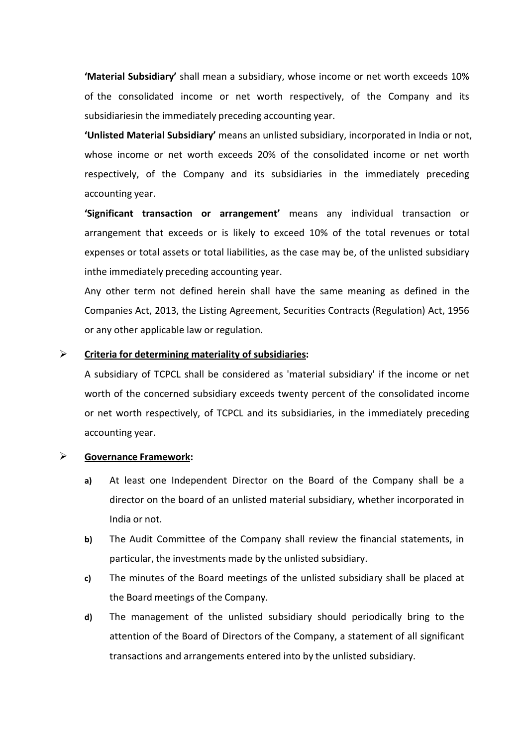'Material Subsidiary' shall mean a subsidiary, whose income or net worth exceeds 10% Material Subsidiary' shall mean a subsidiary, whose income or net worth exceeds 10%<br>of the consolidated income or net worth respectively, of the Company and its<br>subsidiariesin the immediately preceding accounting year.<br>"Un

"**Material Subsidiary'** shall mean a subsidiary, whose income or net worth exceeds 10%<br>of the consolidated income or net worth respectively, of the Company and its<br>subsidiariesin the immediately preceding accounting year.<br> "**Material Subsidiary'** shall mean a subsidiary, whose income or net worth exceeds 10%<br>of the consolidated income or net worth respectively, of the Company and its<br>subsidiariesin the immediately preceding accounting year.<br> "**Material Subsidiary'** shall mean a subsidiary, whose income or net worth exceeds 10%<br>of the consolidated income or net worth respectively, of the Company and its<br>subsidiariesin the immediately preceding accounting year.<br> Train Subsidiary' shall mean a subsidiary, whose income or net worth exceeds 10%<br>of the consolidated income or net worth respectively, of the Company and its<br>subsidiariesin the immediately preceding accounting year.<br>The im **Thaterial Subsidiary'** shall mean a subsidiary, whose income or net worth exof the consolidated income or net worth respectively, of the Compan subsidiariesin the immediately preceding accounting year.<br> **Thus vector Walte** 'Material Subsidiany' shall mean a subsidiary, whose income or net worth exceeds 10%<br>of the consolidated income or net worth respectively, of the Company and its<br>subsidiariesin the immediately preceding accounting year.<br>'U "Material Subsidiary" shall mean a subsidiary, whose income or net worth exceeds 10%<br>of the consolidated income or net worth respectively, of the Company and its<br>subsidiariesin the immediately preceding accounting year.<br>"U "**Thaterial Subsidiary'** shall mean a subsidiary, whose income or net worth exceeds 10%<br>of the consolidated income or net worth respectively, of the Company and its<br>subsidiariesin the immediately preceding accounting year. "**The interval Subsidiary'** shall mean a subsidiary, whose income or net worth exceeds 10%<br>of the consolidated income or net worth respectively, of the Company and its<br>subsidiariesin the immediately preceding accounting ye "Material Subsidiary" shall mean a subsidiary, whose income or net worth exceeds 10%<br>of the consolidated income or net worth respectively, of the Company and its<br>subsidiariesin the immediately preceding accounting year.<br>"U of the consolidated income or net worth respectively, of the Company and its<br>subsidiariesin the immediately preceding accounting year.<br>"Unlisted Material Subsidiary" means an unlisted subsidiary, incorporated in India or n subsidiariesin the immediately preceding accounting year.<br> **"Unlisted Material Subsidiary'** means an unlisted subsidiary, incorporated in India or not,<br>
whose income or net worth exceeds 20% of the consolidated income or n

**Thisted Material Subsidiary'** means an unlisted subsidiary, incorporated in India or not,<br>whose income or net worth exceeds 20% of the consolidated income or net worth<br>respectively, of the Company and its subsidiaries in

whose income or net worth exceeds 20% of the consolidated income or net worth<br>respectively, of the Company and its subsidiaries in the immediately preceding<br>accounting year.<br>**"Significant transaction or arrangement"** means respectively, of the Company and its subsidiaries in the immediately preceding<br>accounting year.<br> **"Significant transaction or arrangement"** means any individual transaction or<br>
arrangement that exceeds or is likely to exce **accounting year.**<br> **Significant transaction or arrangement"** means any individual transaction or<br>
arrangement that exceeds or is likely to exceed 10% of the total revenues or total<br>
expenses or total assets or total liabi **Significant transaction or arrangement'** means any individual trans<br>arrangement that exceeds or is likely to exceed 10% of the total revenue<br>expenses or total assets or total liabilities, as the case may be, of the unlist Experience Controllars and Exercise of the Marian Sexpenses or total labilities, as the case may be, of the unlisted s<br>
in the immediately preceding accounting year.<br>
Any other term not defined herein shall have the same m inthe immediately preceding accounting year.<br>
Any other term not defined herein shall have the same meaning as defined in the<br>
Companies Act, 2013, the Listing Agreement, Securities Contracts (Regulation) Act, 1956<br>
or any other term not defined herein shall have the same meaning as defined in the anies Act, 2013, the Listing Agreement, Securities Contracts (Regulation) Act, 1956 other applicable law or regulation.<br> **La for determining mater** anies Act, 2013, the Listing Agreement, Securities Contracts (Regulation) A<br>
other applicable law or regulation.<br> **In for determining materiality of subsidiaries:**<br>
sidiary of TCPCL shall be considered as 'material subsidi or any other applicable law or regulation.<br> **Criteria for determining materiality of subsidiaries:**<br>
A subsidiary of TCPCL shall be considered as 'material subsidiary' if the income or net<br>
worth of the concerned subsidiar ia for determining materiality of subsidiaries:<br>sidiary of TCPCL shall be considered as 'material subsidiary' if the income or net<br>of the concerned subsidiary exceeds twenty percent of the consolidated income<br>tworth respec Christian Internation of TCPCL shall be considered as 'material subsidiary' if the income or net<br>
worth of the concerned subsidiary exceeds twenty percent of the consolidated income<br>
or net worth respectively, of TCPCL and Sluarly or terct shall be considered as inatental subsidiary in the intomite of the concerned subsidiary exceeds twenty percent of the consolidated income<br>tworth respectively, of TCPCL and its subsidiaries, in the immediat

- Morth of the concerned subsidiary exceeds twenty percent of the consolidated income<br>or net worth respectively, of TCPCL and its subsidiaries, in the immediately preceding<br>accounting year.<br> **Governance Framework:**<br> **a)** At respectively, or Tenect and its subsidiantes, in the immediately preceding<br>thing year.<br>At least one Independent Director on the Board of the Company shall be a<br>director on the board of an unlisted material subsidiary, whet Transactions and arrangement Director on the Board of the Company shall be a director on the board of an unlisted material subsidiary, whether incorporated in India or not.<br>The Audit Committee of the Company shall review t
- 
- 
-